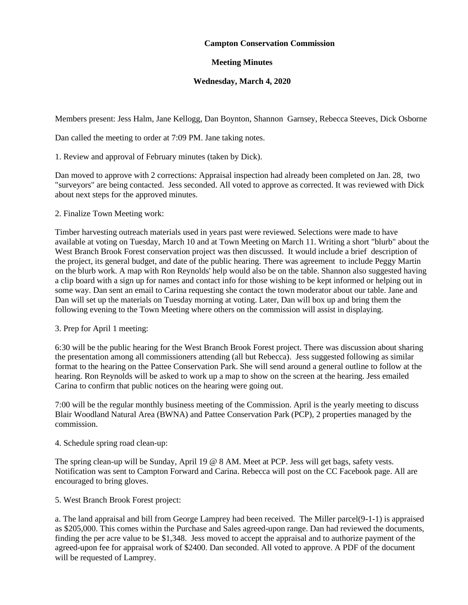## **Campton Conservation Commission**

## **Meeting Minutes**

## **Wednesday, March 4, 2020**

Members present: Jess Halm, Jane Kellogg, Dan Boynton, Shannon Garnsey, Rebecca Steeves, Dick Osborne

Dan called the meeting to order at 7:09 PM. Jane taking notes.

1. Review and approval of February minutes (taken by Dick).

Dan moved to approve with 2 corrections: Appraisal inspection had already been completed on Jan. 28, two "surveyors" are being contacted. Jess seconded. All voted to approve as corrected. It was reviewed with Dick about next steps for the approved minutes.

2. Finalize Town Meeting work:

Timber harvesting outreach materials used in years past were reviewed. Selections were made to have available at voting on Tuesday, March 10 and at Town Meeting on March 11. Writing a short "blurb" about the West Branch Brook Forest conservation project was then discussed. It would include a brief description of the project, its general budget, and date of the public hearing. There was agreement to include Peggy Martin on the blurb work. A map with Ron Reynolds' help would also be on the table. Shannon also suggested having a clip board with a sign up for names and contact info for those wishing to be kept informed or helping out in some way. Dan sent an email to Carina requesting she contact the town moderator about our table. Jane and Dan will set up the materials on Tuesday morning at voting. Later, Dan will box up and bring them the following evening to the Town Meeting where others on the commission will assist in displaying.

3. Prep for April 1 meeting:

6:30 will be the public hearing for the West Branch Brook Forest project. There was discussion about sharing the presentation among all commissioners attending (all but Rebecca). Jess suggested following as similar format to the hearing on the Pattee Conservation Park. She will send around a general outline to follow at the hearing. Ron Reynolds will be asked to work up a map to show on the screen at the hearing. Jess emailed Carina to confirm that public notices on the hearing were going out.

7:00 will be the regular monthly business meeting of the Commission. April is the yearly meeting to discuss Blair Woodland Natural Area (BWNA) and Pattee Conservation Park (PCP), 2 properties managed by the commission.

4. Schedule spring road clean-up:

The spring clean-up will be Sunday, April 19 @ 8 AM. Meet at PCP. Jess will get bags, safety vests. Notification was sent to Campton Forward and Carina. Rebecca will post on the CC Facebook page. All are encouraged to bring gloves.

5. West Branch Brook Forest project:

a. The land appraisal and bill from George Lamprey had been received. The Miller parcel(9-1-1) is appraised as \$205,000. This comes within the Purchase and Sales agreed-upon range. Dan had reviewed the documents, finding the per acre value to be \$1,348. Jess moved to accept the appraisal and to authorize payment of the agreed-upon fee for appraisal work of \$2400. Dan seconded. All voted to approve. A PDF of the document will be requested of Lamprey.